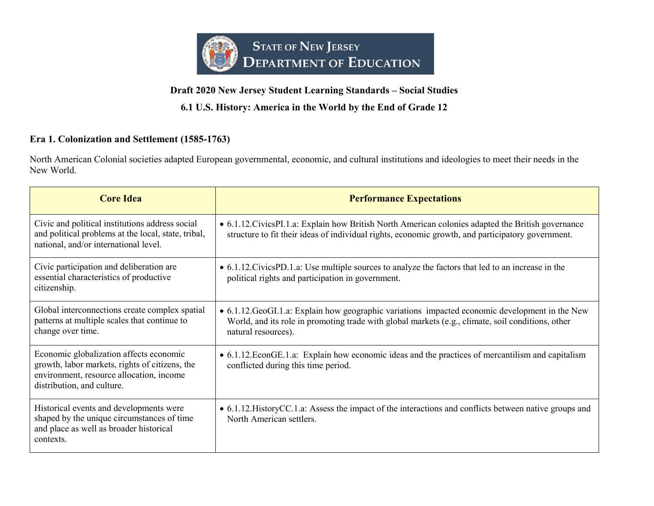

# **6.1 U.S. History: America in the World by the End of Grade 12**

# **Era 1. Colonization and Settlement (1585-1763)**

North American Colonial societies adapted European governmental, economic, and cultural institutions and ideologies to meet their needs in the New World.

| <b>Core Idea</b>                                                                                                                                                    | <b>Performance Expectations</b>                                                                                                                                                                                             |
|---------------------------------------------------------------------------------------------------------------------------------------------------------------------|-----------------------------------------------------------------------------------------------------------------------------------------------------------------------------------------------------------------------------|
| Civic and political institutions address social<br>and political problems at the local, state, tribal,<br>national, and/or international level.                     | • 6.1.12. Civics PI.1.a: Explain how British North American colonies adapted the British governance<br>structure to fit their ideas of individual rights, economic growth, and participatory government.                    |
| Civic participation and deliberation are<br>essential characteristics of productive<br>citizenship.                                                                 | • 6.1.12. Civics PD.1.a: Use multiple sources to analyze the factors that led to an increase in the<br>political rights and participation in government.                                                                    |
| Global interconnections create complex spatial<br>patterns at multiple scales that continue to<br>change over time.                                                 | • 6.1.12. GeoGI.1.a: Explain how geographic variations impacted economic development in the New<br>World, and its role in promoting trade with global markets (e.g., climate, soil conditions, other<br>natural resources). |
| Economic globalization affects economic<br>growth, labor markets, rights of citizens, the<br>environment, resource allocation, income<br>distribution, and culture. | • 6.1.12. EconGE.1.a: Explain how economic ideas and the practices of mercantilism and capitalism<br>conflicted during this time period.                                                                                    |
| Historical events and developments were<br>shaped by the unique circumstances of time<br>and place as well as broader historical<br>contexts.                       | • 6.1.12. History CC.1.a: Assess the impact of the interactions and conflicts between native groups and<br>North American settlers.                                                                                         |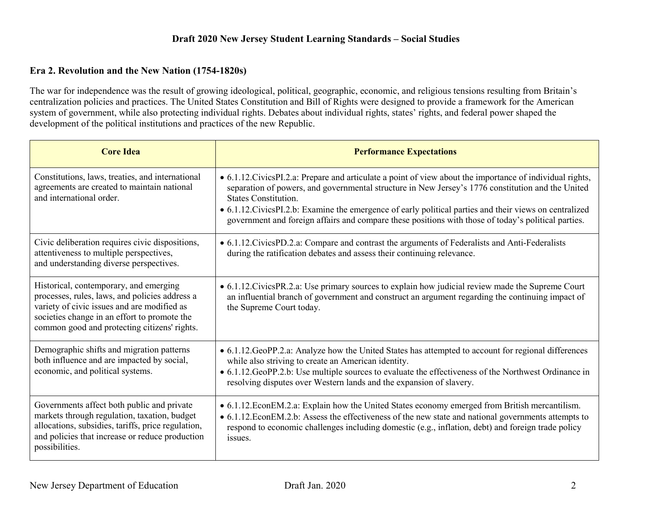#### **Era 2. Revolution and the New Nation (1754-1820s)**

The war for independence was the result of growing ideological, political, geographic, economic, and religious tensions resulting from Britain's centralization policies and practices. The United States Constitution and Bill of Rights were designed to provide a framework for the American system of government, while also protecting individual rights. Debates about individual rights, states' rights, and federal power shaped the development of the political institutions and practices of the new Republic.

| <b>Core Idea</b>                                                                                                                                                                                                                        | <b>Performance Expectations</b>                                                                                                                                                                                                                                                                                                                                                                                                                                   |
|-----------------------------------------------------------------------------------------------------------------------------------------------------------------------------------------------------------------------------------------|-------------------------------------------------------------------------------------------------------------------------------------------------------------------------------------------------------------------------------------------------------------------------------------------------------------------------------------------------------------------------------------------------------------------------------------------------------------------|
| Constitutions, laws, treaties, and international<br>agreements are created to maintain national<br>and international order.                                                                                                             | • 6.1.12. Civics PI.2.a: Prepare and articulate a point of view about the importance of individual rights,<br>separation of powers, and governmental structure in New Jersey's 1776 constitution and the United<br><b>States Constitution.</b><br>• 6.1.12. Civics PI.2.b: Examine the emergence of early political parties and their views on centralized<br>government and foreign affairs and compare these positions with those of today's political parties. |
| Civic deliberation requires civic dispositions,<br>attentiveness to multiple perspectives,<br>and understanding diverse perspectives.                                                                                                   | • 6.1.12. Civics PD.2.a: Compare and contrast the arguments of Federalists and Anti-Federalists<br>during the ratification debates and assess their continuing relevance.                                                                                                                                                                                                                                                                                         |
| Historical, contemporary, and emerging<br>processes, rules, laws, and policies address a<br>variety of civic issues and are modified as<br>societies change in an effort to promote the<br>common good and protecting citizens' rights. | • 6.1.12. Civics PR.2.a: Use primary sources to explain how judicial review made the Supreme Court<br>an influential branch of government and construct an argument regarding the continuing impact of<br>the Supreme Court today.                                                                                                                                                                                                                                |
| Demographic shifts and migration patterns<br>both influence and are impacted by social,<br>economic, and political systems.                                                                                                             | • 6.1.12. GeoPP.2.a: Analyze how the United States has attempted to account for regional differences<br>while also striving to create an American identity.<br>• 6.1.12. GeoPP.2.b: Use multiple sources to evaluate the effectiveness of the Northwest Ordinance in<br>resolving disputes over Western lands and the expansion of slavery.                                                                                                                       |
| Governments affect both public and private<br>markets through regulation, taxation, budget<br>allocations, subsidies, tariffs, price regulation,<br>and policies that increase or reduce production<br>possibilities.                   | • 6.1.12. EconEM.2.a: Explain how the United States economy emerged from British mercantilism.<br>• 6.1.12. Econ EM.2.b: Assess the effectiveness of the new state and national governments attempts to<br>respond to economic challenges including domestic (e.g., inflation, debt) and foreign trade policy<br>issues.                                                                                                                                          |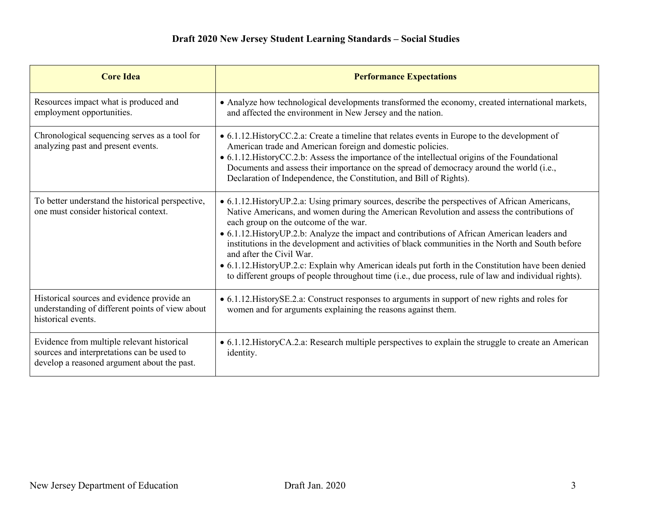| <b>Core Idea</b>                                                                                                                        | <b>Performance Expectations</b>                                                                                                                                                                                                                                                                                                                                                                                                                                                                                                                                                                                                                                                             |
|-----------------------------------------------------------------------------------------------------------------------------------------|---------------------------------------------------------------------------------------------------------------------------------------------------------------------------------------------------------------------------------------------------------------------------------------------------------------------------------------------------------------------------------------------------------------------------------------------------------------------------------------------------------------------------------------------------------------------------------------------------------------------------------------------------------------------------------------------|
| Resources impact what is produced and<br>employment opportunities.                                                                      | • Analyze how technological developments transformed the economy, created international markets,<br>and affected the environment in New Jersey and the nation.                                                                                                                                                                                                                                                                                                                                                                                                                                                                                                                              |
| Chronological sequencing serves as a tool for<br>analyzing past and present events.                                                     | • 6.1.12. History CC.2.a: Create a timeline that relates events in Europe to the development of<br>American trade and American foreign and domestic policies.<br>• 6.1.12. History CC.2.b: Assess the importance of the intellectual origins of the Foundational<br>Documents and assess their importance on the spread of democracy around the world (i.e.,<br>Declaration of Independence, the Constitution, and Bill of Rights).                                                                                                                                                                                                                                                         |
| To better understand the historical perspective,<br>one must consider historical context.                                               | • 6.1.12. History UP.2.a: Using primary sources, describe the perspectives of African Americans,<br>Native Americans, and women during the American Revolution and assess the contributions of<br>each group on the outcome of the war.<br>• 6.1.12. History UP.2.b: Analyze the impact and contributions of African American leaders and<br>institutions in the development and activities of black communities in the North and South before<br>and after the Civil War.<br>• 6.1.12. History UP.2.c: Explain why American ideals put forth in the Constitution have been denied<br>to different groups of people throughout time (i.e., due process, rule of law and individual rights). |
| Historical sources and evidence provide an<br>understanding of different points of view about<br>historical events.                     | • 6.1.12. HistorySE.2.a: Construct responses to arguments in support of new rights and roles for<br>women and for arguments explaining the reasons against them.                                                                                                                                                                                                                                                                                                                                                                                                                                                                                                                            |
| Evidence from multiple relevant historical<br>sources and interpretations can be used to<br>develop a reasoned argument about the past. | • 6.1.12. History CA.2.a: Research multiple perspectives to explain the struggle to create an American<br>identity.                                                                                                                                                                                                                                                                                                                                                                                                                                                                                                                                                                         |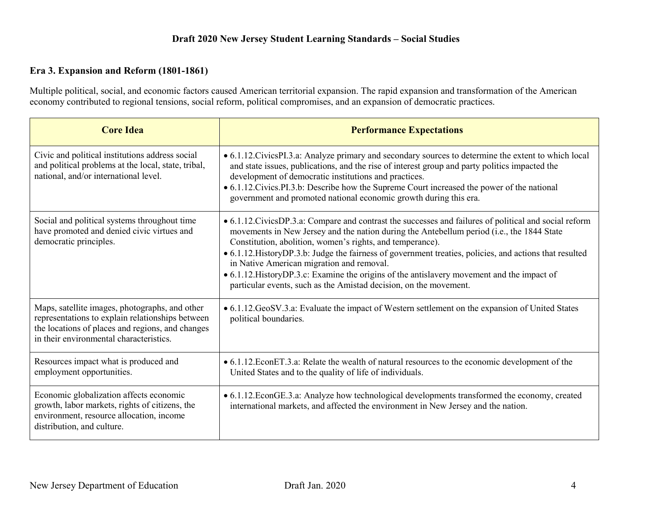#### **Era 3. Expansion and Reform (1801-1861)**

Multiple political, social, and economic factors caused American territorial expansion. The rapid expansion and transformation of the American economy contributed to regional tensions, social reform, political compromises, and an expansion of democratic practices.

| <b>Core Idea</b>                                                                                                                                                                                  | <b>Performance Expectations</b>                                                                                                                                                                                                                                                                                                                                                                                                                                                                                                                                                                |
|---------------------------------------------------------------------------------------------------------------------------------------------------------------------------------------------------|------------------------------------------------------------------------------------------------------------------------------------------------------------------------------------------------------------------------------------------------------------------------------------------------------------------------------------------------------------------------------------------------------------------------------------------------------------------------------------------------------------------------------------------------------------------------------------------------|
| Civic and political institutions address social<br>and political problems at the local, state, tribal,<br>national, and/or international level.                                                   | • 6.1.12. Civics PI.3.a: Analyze primary and secondary sources to determine the extent to which local<br>and state issues, publications, and the rise of interest group and party politics impacted the<br>development of democratic institutions and practices.<br>• 6.1.12. Civics. PI.3.b: Describe how the Supreme Court increased the power of the national<br>government and promoted national economic growth during this era.                                                                                                                                                          |
| Social and political systems throughout time<br>have promoted and denied civic virtues and<br>democratic principles.                                                                              | • 6.1.12. Civics DP.3.a: Compare and contrast the successes and failures of political and social reform<br>movements in New Jersey and the nation during the Antebellum period (i.e., the 1844 State<br>Constitution, abolition, women's rights, and temperance).<br>• 6.1.12. History DP.3.b: Judge the fairness of government treaties, policies, and actions that resulted<br>in Native American migration and removal.<br>• 6.1.12. History DP.3.c: Examine the origins of the antislavery movement and the impact of<br>particular events, such as the Amistad decision, on the movement. |
| Maps, satellite images, photographs, and other<br>representations to explain relationships between<br>the locations of places and regions, and changes<br>in their environmental characteristics. | • 6.1.12. GeoSV.3.a: Evaluate the impact of Western settlement on the expansion of United States<br>political boundaries.                                                                                                                                                                                                                                                                                                                                                                                                                                                                      |
| Resources impact what is produced and<br>employment opportunities.                                                                                                                                | • 6.1.12. EconET.3.a: Relate the wealth of natural resources to the economic development of the<br>United States and to the quality of life of individuals.                                                                                                                                                                                                                                                                                                                                                                                                                                    |
| Economic globalization affects economic<br>growth, labor markets, rights of citizens, the<br>environment, resource allocation, income<br>distribution, and culture.                               | • 6.1.12. EconGE.3.a: Analyze how technological developments transformed the economy, created<br>international markets, and affected the environment in New Jersey and the nation.                                                                                                                                                                                                                                                                                                                                                                                                             |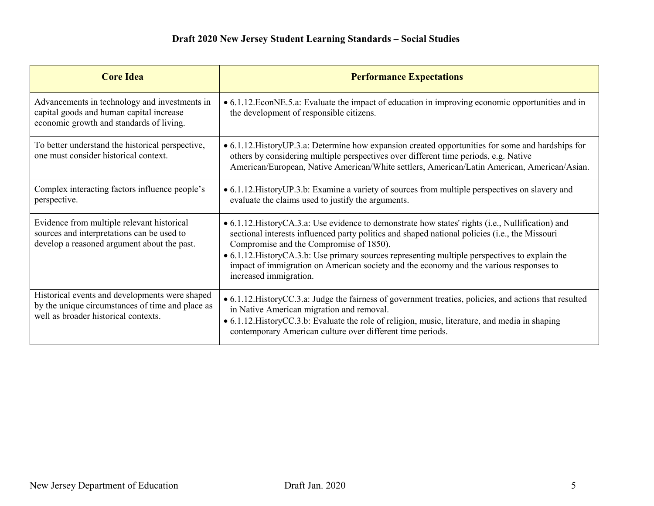| <b>Core Idea</b>                                                                                                                           | <b>Performance Expectations</b>                                                                                                                                                                                                                                                                                                                                                                                                                                        |
|--------------------------------------------------------------------------------------------------------------------------------------------|------------------------------------------------------------------------------------------------------------------------------------------------------------------------------------------------------------------------------------------------------------------------------------------------------------------------------------------------------------------------------------------------------------------------------------------------------------------------|
| Advancements in technology and investments in<br>capital goods and human capital increase<br>economic growth and standards of living.      | • 6.1.12. EconNE.5.a: Evaluate the impact of education in improving economic opportunities and in<br>the development of responsible citizens.                                                                                                                                                                                                                                                                                                                          |
| To better understand the historical perspective,<br>one must consider historical context.                                                  | • 6.1.12. History UP.3.a: Determine how expansion created opportunities for some and hardships for<br>others by considering multiple perspectives over different time periods, e.g. Native<br>American/European, Native American/White settlers, American/Latin American, American/Asian.                                                                                                                                                                              |
| Complex interacting factors influence people's<br>perspective.                                                                             | • 6.1.12. History UP.3.b: Examine a variety of sources from multiple perspectives on slavery and<br>evaluate the claims used to justify the arguments.                                                                                                                                                                                                                                                                                                                 |
| Evidence from multiple relevant historical<br>sources and interpretations can be used to<br>develop a reasoned argument about the past.    | • 6.1.12. History CA.3.a: Use evidence to demonstrate how states' rights (i.e., Nullification) and<br>sectional interests influenced party politics and shaped national policies (i.e., the Missouri<br>Compromise and the Compromise of 1850).<br>• 6.1.12. History CA.3.b: Use primary sources representing multiple perspectives to explain the<br>impact of immigration on American society and the economy and the various responses to<br>increased immigration. |
| Historical events and developments were shaped<br>by the unique circumstances of time and place as<br>well as broader historical contexts. | • 6.1.12. History CC.3.a: Judge the fairness of government treaties, policies, and actions that resulted<br>in Native American migration and removal.<br>• 6.1.12. History CC.3.b: Evaluate the role of religion, music, literature, and media in shaping<br>contemporary American culture over different time periods.                                                                                                                                                |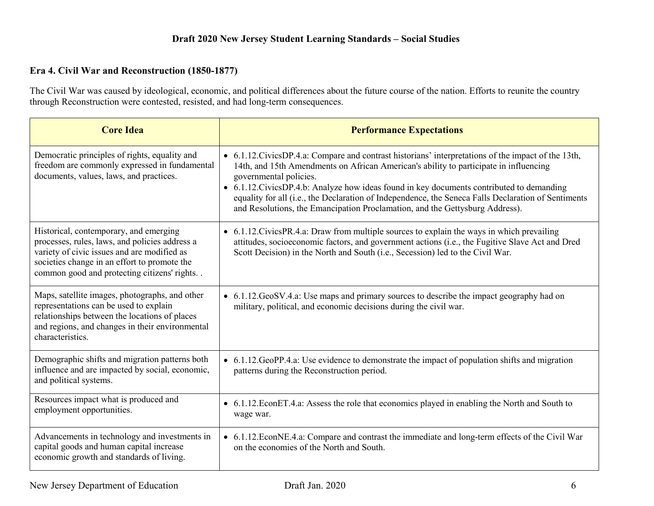#### **Era 4. Civil War and Reconstruction (1850-1877)**

The Civil War was caused by ideological, economic, and political differences about the future course of the nation. Efforts to reunite the country through Reconstruction were contested, resisted, and had long-term consequences.

| <b>Core Idea</b>                                                                                                                                                                                                                          | <b>Performance Expectations</b>                                                                                                                                                                                                                                                                                                                                                                                                                                                                              |
|-------------------------------------------------------------------------------------------------------------------------------------------------------------------------------------------------------------------------------------------|--------------------------------------------------------------------------------------------------------------------------------------------------------------------------------------------------------------------------------------------------------------------------------------------------------------------------------------------------------------------------------------------------------------------------------------------------------------------------------------------------------------|
| Democratic principles of rights, equality and<br>freedom are commonly expressed in fundamental<br>documents, values, laws, and practices.                                                                                                 | • 6.1.12. Civics DP.4.a: Compare and contrast historians' interpretations of the impact of the 13th,<br>14th, and 15th Amendments on African American's ability to participate in influencing<br>governmental policies.<br>• 6.1.12. Civics DP.4.b: Analyze how ideas found in key documents contributed to demanding<br>equality for all (i.e., the Declaration of Independence, the Seneca Falls Declaration of Sentiments<br>and Resolutions, the Emancipation Proclamation, and the Gettysburg Address). |
| Historical, contemporary, and emerging<br>processes, rules, laws, and policies address a<br>variety of civic issues and are modified as<br>societies change in an effort to promote the<br>common good and protecting citizens' rights. . | • 6.1.12. Civics PR.4.a: Draw from multiple sources to explain the ways in which prevailing<br>attitudes, socioeconomic factors, and government actions (i.e., the Fugitive Slave Act and Dred<br>Scott Decision) in the North and South (i.e., Secession) led to the Civil War.                                                                                                                                                                                                                             |
| Maps, satellite images, photographs, and other<br>representations can be used to explain<br>relationships between the locations of places<br>and regions, and changes in their environmental<br>characteristics.                          | • 6.1.12. GeoSV.4.a: Use maps and primary sources to describe the impact geography had on<br>military, political, and economic decisions during the civil war.                                                                                                                                                                                                                                                                                                                                               |
| Demographic shifts and migration patterns both<br>influence and are impacted by social, economic,<br>and political systems.                                                                                                               | • 6.1.12. GeoPP.4.a: Use evidence to demonstrate the impact of population shifts and migration<br>patterns during the Reconstruction period.                                                                                                                                                                                                                                                                                                                                                                 |
| Resources impact what is produced and<br>employment opportunities.                                                                                                                                                                        | • 6.1.12. EconET.4.a: Assess the role that economics played in enabling the North and South to<br>wage war.                                                                                                                                                                                                                                                                                                                                                                                                  |
| Advancements in technology and investments in<br>capital goods and human capital increase<br>economic growth and standards of living.                                                                                                     | • 6.1.12. EconNE.4.a: Compare and contrast the immediate and long-term effects of the Civil War<br>on the economies of the North and South.                                                                                                                                                                                                                                                                                                                                                                  |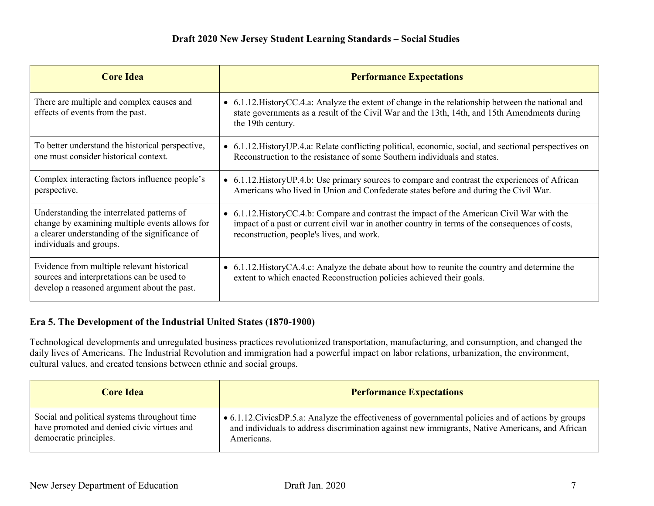| <b>Core Idea</b>                                                                                                                                                          | <b>Performance Expectations</b>                                                                                                                                                                                                              |
|---------------------------------------------------------------------------------------------------------------------------------------------------------------------------|----------------------------------------------------------------------------------------------------------------------------------------------------------------------------------------------------------------------------------------------|
| There are multiple and complex causes and<br>effects of events from the past.                                                                                             | • 6.1.12. History CC.4.a: Analyze the extent of change in the relationship between the national and<br>state governments as a result of the Civil War and the 13th, 14th, and 15th Amendments during<br>the 19th century.                    |
| To better understand the historical perspective,<br>one must consider historical context.                                                                                 | • 6.1.12. History UP.4.a: Relate conflicting political, economic, social, and sectional perspectives on<br>Reconstruction to the resistance of some Southern individuals and states.                                                         |
| Complex interacting factors influence people's<br>perspective.                                                                                                            | • 6.1.12. History UP.4.b: Use primary sources to compare and contrast the experiences of African<br>Americans who lived in Union and Confederate states before and during the Civil War.                                                     |
| Understanding the interrelated patterns of<br>change by examining multiple events allows for<br>a clearer understanding of the significance of<br>individuals and groups. | • 6.1.12. History CC.4.b: Compare and contrast the impact of the American Civil War with the<br>impact of a past or current civil war in another country in terms of the consequences of costs,<br>reconstruction, people's lives, and work. |
| Evidence from multiple relevant historical<br>sources and interpretations can be used to<br>develop a reasoned argument about the past.                                   | • 6.1.12. History CA.4.c: Analyze the debate about how to reunite the country and determine the<br>extent to which enacted Reconstruction policies achieved their goals.                                                                     |

## **Era 5. The Development of the Industrial United States (1870-1900)**

Technological developments and unregulated business practices revolutionized transportation, manufacturing, and consumption, and changed the daily lives of Americans. The Industrial Revolution and immigration had a powerful impact on labor relations, urbanization, the environment, cultural values, and created tensions between ethnic and social groups.

| <b>Core Idea</b>                             | <b>Performance Expectations</b>                                                                      |
|----------------------------------------------|------------------------------------------------------------------------------------------------------|
| Social and political systems throughout time | • 6.1.12. Civics DP.5.a: Analyze the effectiveness of governmental policies and of actions by groups |
| have promoted and denied civic virtues and   | and individuals to address discrimination against new immigrants, Native Americans, and African      |
| democratic principles.                       | Americans.                                                                                           |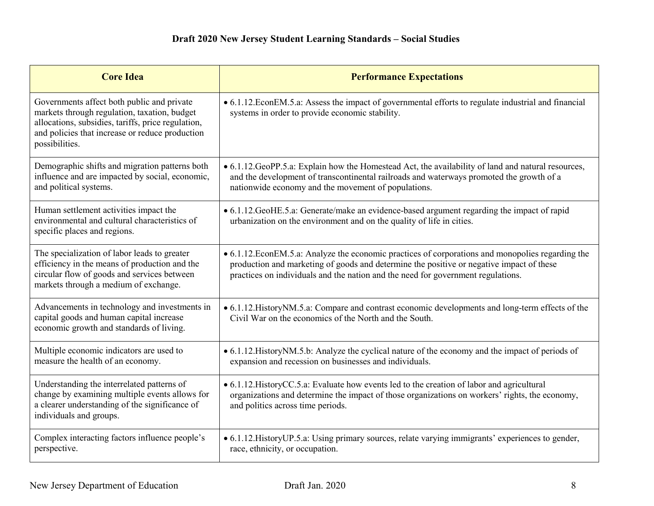| <b>Core Idea</b>                                                                                                                                                                                                      | <b>Performance Expectations</b>                                                                                                                                                                                                                                                   |
|-----------------------------------------------------------------------------------------------------------------------------------------------------------------------------------------------------------------------|-----------------------------------------------------------------------------------------------------------------------------------------------------------------------------------------------------------------------------------------------------------------------------------|
| Governments affect both public and private<br>markets through regulation, taxation, budget<br>allocations, subsidies, tariffs, price regulation,<br>and policies that increase or reduce production<br>possibilities. | • 6.1.12. EconEM.5.a: Assess the impact of governmental efforts to regulate industrial and financial<br>systems in order to provide economic stability.                                                                                                                           |
| Demographic shifts and migration patterns both<br>influence and are impacted by social, economic,<br>and political systems.                                                                                           | • 6.1.12. GeoPP.5.a: Explain how the Homestead Act, the availability of land and natural resources,<br>and the development of transcontinental railroads and waterways promoted the growth of a<br>nationwide economy and the movement of populations.                            |
| Human settlement activities impact the<br>environmental and cultural characteristics of<br>specific places and regions.                                                                                               | • 6.1.12. GeoHE.5.a: Generate/make an evidence-based argument regarding the impact of rapid<br>urbanization on the environment and on the quality of life in cities.                                                                                                              |
| The specialization of labor leads to greater<br>efficiency in the means of production and the<br>circular flow of goods and services between<br>markets through a medium of exchange.                                 | • 6.1.12. EconEM.5.a: Analyze the economic practices of corporations and monopolies regarding the<br>production and marketing of goods and determine the positive or negative impact of these<br>practices on individuals and the nation and the need for government regulations. |
| Advancements in technology and investments in<br>capital goods and human capital increase<br>economic growth and standards of living.                                                                                 | • 6.1.12. History NM.5.a: Compare and contrast economic developments and long-term effects of the<br>Civil War on the economics of the North and the South.                                                                                                                       |
| Multiple economic indicators are used to<br>measure the health of an economy.                                                                                                                                         | • 6.1.12. History NM.5.b: Analyze the cyclical nature of the economy and the impact of periods of<br>expansion and recession on businesses and individuals.                                                                                                                       |
| Understanding the interrelated patterns of<br>change by examining multiple events allows for<br>a clearer understanding of the significance of<br>individuals and groups.                                             | • 6.1.12. History CC.5.a: Evaluate how events led to the creation of labor and agricultural<br>organizations and determine the impact of those organizations on workers' rights, the economy,<br>and politics across time periods.                                                |
| Complex interacting factors influence people's<br>perspective.                                                                                                                                                        | • 6.1.12. History UP.5.a: Using primary sources, relate varying immigrants' experiences to gender,<br>race, ethnicity, or occupation.                                                                                                                                             |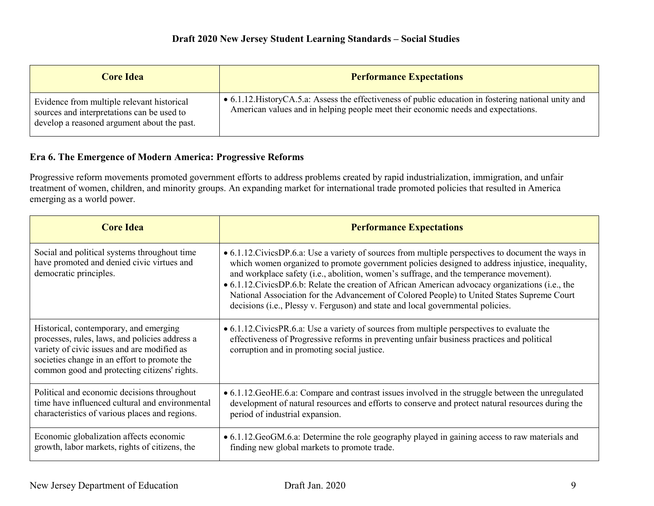| <b>Core Idea</b>                                                                                                                        | <b>Performance Expectations</b>                                                                                                                                                             |
|-----------------------------------------------------------------------------------------------------------------------------------------|---------------------------------------------------------------------------------------------------------------------------------------------------------------------------------------------|
| Evidence from multiple relevant historical<br>sources and interpretations can be used to<br>develop a reasoned argument about the past. | • 6.1.12. History CA.5.a: Assess the effectiveness of public education in fostering national unity and<br>American values and in helping people meet their economic needs and expectations. |

## **Era 6. The Emergence of Modern America: Progressive Reforms**

Progressive reform movements promoted government efforts to address problems created by rapid industrialization, immigration, and unfair treatment of women, children, and minority groups. An expanding market for international trade promoted policies that resulted in America emerging as a world power.

| <b>Core Idea</b>                                                                                                                                                                                                                        | <b>Performance Expectations</b>                                                                                                                                                                                                                                                                                                                                                                                                                                                                                                                                                                  |
|-----------------------------------------------------------------------------------------------------------------------------------------------------------------------------------------------------------------------------------------|--------------------------------------------------------------------------------------------------------------------------------------------------------------------------------------------------------------------------------------------------------------------------------------------------------------------------------------------------------------------------------------------------------------------------------------------------------------------------------------------------------------------------------------------------------------------------------------------------|
| Social and political systems throughout time<br>have promoted and denied civic virtues and<br>democratic principles.                                                                                                                    | • 6.1.12. Civics DP.6.a: Use a variety of sources from multiple perspectives to document the ways in<br>which women organized to promote government policies designed to address injustice, inequality,<br>and workplace safety (i.e., abolition, women's suffrage, and the temperance movement).<br>$\bullet$ 6.1.12. Civics DP.6.b: Relate the creation of African American advocacy organizations (i.e., the<br>National Association for the Advancement of Colored People) to United States Supreme Court<br>decisions (i.e., Plessy v. Ferguson) and state and local governmental policies. |
| Historical, contemporary, and emerging<br>processes, rules, laws, and policies address a<br>variety of civic issues and are modified as<br>societies change in an effort to promote the<br>common good and protecting citizens' rights. | • 6.1.12. Civics PR.6.a: Use a variety of sources from multiple perspectives to evaluate the<br>effectiveness of Progressive reforms in preventing unfair business practices and political<br>corruption and in promoting social justice.                                                                                                                                                                                                                                                                                                                                                        |
| Political and economic decisions throughout<br>time have influenced cultural and environmental<br>characteristics of various places and regions.                                                                                        | • 6.1.12. GeoHE.6.a: Compare and contrast issues involved in the struggle between the unregulated<br>development of natural resources and efforts to conserve and protect natural resources during the<br>period of industrial expansion.                                                                                                                                                                                                                                                                                                                                                        |
| Economic globalization affects economic<br>growth, labor markets, rights of citizens, the                                                                                                                                               | • 6.1.12. GeoGM.6.a: Determine the role geography played in gaining access to raw materials and<br>finding new global markets to promote trade.                                                                                                                                                                                                                                                                                                                                                                                                                                                  |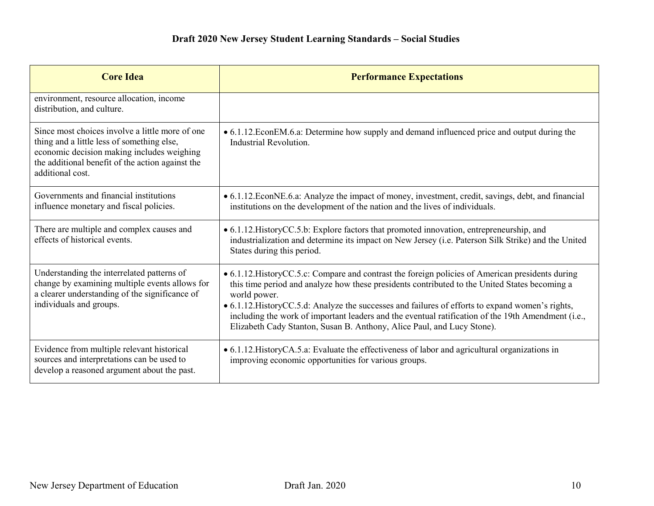| <b>Core Idea</b>                                                                                                                                                                                                    | <b>Performance Expectations</b>                                                                                                                                                                                                                                                                                                                                                                                                                                                                         |
|---------------------------------------------------------------------------------------------------------------------------------------------------------------------------------------------------------------------|---------------------------------------------------------------------------------------------------------------------------------------------------------------------------------------------------------------------------------------------------------------------------------------------------------------------------------------------------------------------------------------------------------------------------------------------------------------------------------------------------------|
| environment, resource allocation, income<br>distribution, and culture.                                                                                                                                              |                                                                                                                                                                                                                                                                                                                                                                                                                                                                                                         |
| Since most choices involve a little more of one<br>thing and a little less of something else,<br>economic decision making includes weighing<br>the additional benefit of the action against the<br>additional cost. | • 6.1.12. EconEM.6.a: Determine how supply and demand influenced price and output during the<br>Industrial Revolution.                                                                                                                                                                                                                                                                                                                                                                                  |
| Governments and financial institutions<br>influence monetary and fiscal policies.                                                                                                                                   | • 6.1.12. EconNE.6.a: Analyze the impact of money, investment, credit, savings, debt, and financial<br>institutions on the development of the nation and the lives of individuals.                                                                                                                                                                                                                                                                                                                      |
| There are multiple and complex causes and<br>effects of historical events.                                                                                                                                          | • 6.1.12. History CC.5.b: Explore factors that promoted innovation, entrepreneurship, and<br>industrialization and determine its impact on New Jersey (i.e. Paterson Silk Strike) and the United<br>States during this period.                                                                                                                                                                                                                                                                          |
| Understanding the interrelated patterns of<br>change by examining multiple events allows for<br>a clearer understanding of the significance of<br>individuals and groups.                                           | • 6.1.12. History CC.5.c: Compare and contrast the foreign policies of American presidents during<br>this time period and analyze how these presidents contributed to the United States becoming a<br>world power.<br>• 6.1.12. History CC.5.d: Analyze the successes and failures of efforts to expand women's rights,<br>including the work of important leaders and the eventual ratification of the 19th Amendment (i.e.,<br>Elizabeth Cady Stanton, Susan B. Anthony, Alice Paul, and Lucy Stone). |
| Evidence from multiple relevant historical<br>sources and interpretations can be used to<br>develop a reasoned argument about the past.                                                                             | • 6.1.12. History CA.5.a: Evaluate the effectiveness of labor and agricultural organizations in<br>improving economic opportunities for various groups.                                                                                                                                                                                                                                                                                                                                                 |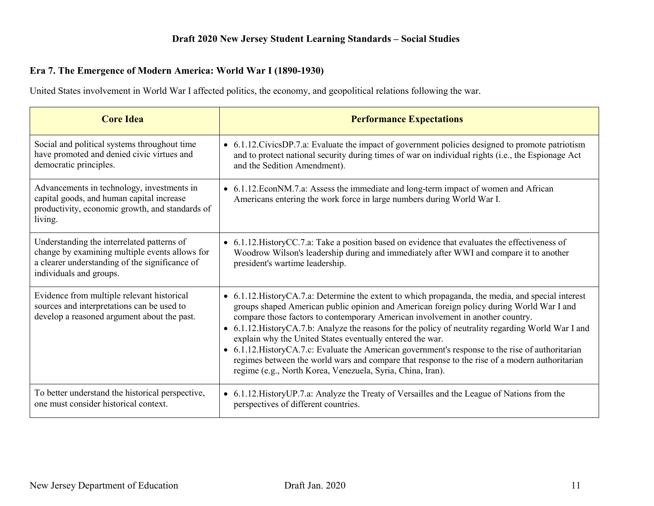## **Era 7. The Emergence of Modern America: World War I (1890-1930)**

United States involvement in World War I affected politics, the economy, and geopolitical relations following the war.

| <b>Core Idea</b>                                                                                                                                                          | <b>Performance Expectations</b>                                                                                                                                                                                                                                                                                                                                                                                                                                                                                                                                                                                                                                                                                              |
|---------------------------------------------------------------------------------------------------------------------------------------------------------------------------|------------------------------------------------------------------------------------------------------------------------------------------------------------------------------------------------------------------------------------------------------------------------------------------------------------------------------------------------------------------------------------------------------------------------------------------------------------------------------------------------------------------------------------------------------------------------------------------------------------------------------------------------------------------------------------------------------------------------------|
| Social and political systems throughout time<br>have promoted and denied civic virtues and<br>democratic principles.                                                      | • 6.1.12. Civics DP.7.a: Evaluate the impact of government policies designed to promote patriotism<br>and to protect national security during times of war on individual rights (i.e., the Espionage Act<br>and the Sedition Amendment).                                                                                                                                                                                                                                                                                                                                                                                                                                                                                     |
| Advancements in technology, investments in<br>capital goods, and human capital increase<br>productivity, economic growth, and standards of<br>living.                     | • 6.1.12. EconNM.7.a: Assess the immediate and long-term impact of women and African<br>Americans entering the work force in large numbers during World War I.                                                                                                                                                                                                                                                                                                                                                                                                                                                                                                                                                               |
| Understanding the interrelated patterns of<br>change by examining multiple events allows for<br>a clearer understanding of the significance of<br>individuals and groups. | • 6.1.12. History CC.7.a: Take a position based on evidence that evaluates the effectiveness of<br>Woodrow Wilson's leadership during and immediately after WWI and compare it to another<br>president's wartime leadership.                                                                                                                                                                                                                                                                                                                                                                                                                                                                                                 |
| Evidence from multiple relevant historical<br>sources and interpretations can be used to<br>develop a reasoned argument about the past.                                   | • 6.1.12. History CA.7.a: Determine the extent to which propaganda, the media, and special interest<br>groups shaped American public opinion and American foreign policy during World War I and<br>compare those factors to contemporary American involvement in another country.<br>• 6.1.12. History CA.7.b: Analyze the reasons for the policy of neutrality regarding World War I and<br>explain why the United States eventually entered the war.<br>• 6.1.12. History CA.7.c: Evaluate the American government's response to the rise of authoritarian<br>regimes between the world wars and compare that response to the rise of a modern authoritarian<br>regime (e.g., North Korea, Venezuela, Syria, China, Iran). |
| To better understand the historical perspective,<br>one must consider historical context.                                                                                 | • 6.1.12. History UP.7.a: Analyze the Treaty of Versailles and the League of Nations from the<br>perspectives of different countries.                                                                                                                                                                                                                                                                                                                                                                                                                                                                                                                                                                                        |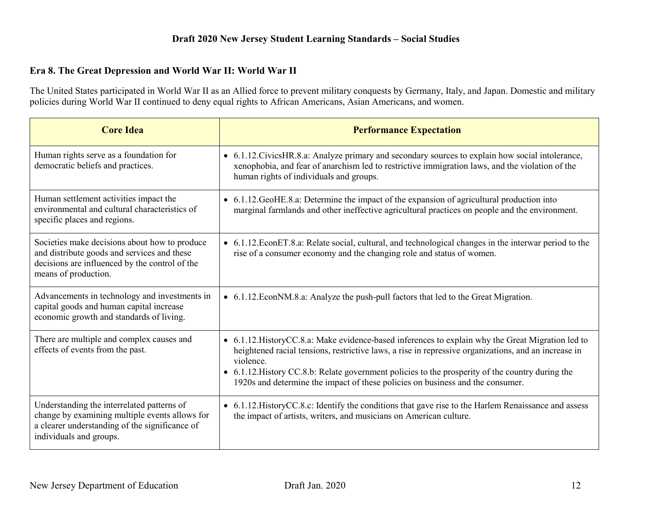#### **Era 8. The Great Depression and World War II: World War II**

The United States participated in World War II as an Allied force to prevent military conquests by Germany, Italy, and Japan. Domestic and military policies during World War II continued to deny equal rights to African Americans, Asian Americans, and women.

| <b>Core Idea</b>                                                                                                                                                          | <b>Performance Expectation</b>                                                                                                                                                                                                                                                                                                                                                                                |
|---------------------------------------------------------------------------------------------------------------------------------------------------------------------------|---------------------------------------------------------------------------------------------------------------------------------------------------------------------------------------------------------------------------------------------------------------------------------------------------------------------------------------------------------------------------------------------------------------|
| Human rights serve as a foundation for<br>democratic beliefs and practices.                                                                                               | • 6.1.12. Civics HR.8.a: Analyze primary and secondary sources to explain how social intolerance,<br>xenophobia, and fear of anarchism led to restrictive immigration laws, and the violation of the<br>human rights of individuals and groups.                                                                                                                                                               |
| Human settlement activities impact the<br>environmental and cultural characteristics of<br>specific places and regions.                                                   | • 6.1.12. GeoHE.8.a: Determine the impact of the expansion of agricultural production into<br>marginal farmlands and other ineffective agricultural practices on people and the environment.                                                                                                                                                                                                                  |
| Societies make decisions about how to produce<br>and distribute goods and services and these<br>decisions are influenced by the control of the<br>means of production.    | • 6.1.12. EconET.8.a: Relate social, cultural, and technological changes in the interwar period to the<br>rise of a consumer economy and the changing role and status of women.                                                                                                                                                                                                                               |
| Advancements in technology and investments in<br>capital goods and human capital increase<br>economic growth and standards of living.                                     | • 6.1.12. EconNM.8.a: Analyze the push-pull factors that led to the Great Migration.                                                                                                                                                                                                                                                                                                                          |
| There are multiple and complex causes and<br>effects of events from the past.                                                                                             | • 6.1.12. History CC.8.a: Make evidence-based inferences to explain why the Great Migration led to<br>heightened racial tensions, restrictive laws, a rise in repressive organizations, and an increase in<br>violence.<br>• 6.1.12. History CC.8.b: Relate government policies to the prosperity of the country during the<br>1920s and determine the impact of these policies on business and the consumer. |
| Understanding the interrelated patterns of<br>change by examining multiple events allows for<br>a clearer understanding of the significance of<br>individuals and groups. | • 6.1.12. History CC.8.c: Identify the conditions that gave rise to the Harlem Renaissance and assess<br>the impact of artists, writers, and musicians on American culture.                                                                                                                                                                                                                                   |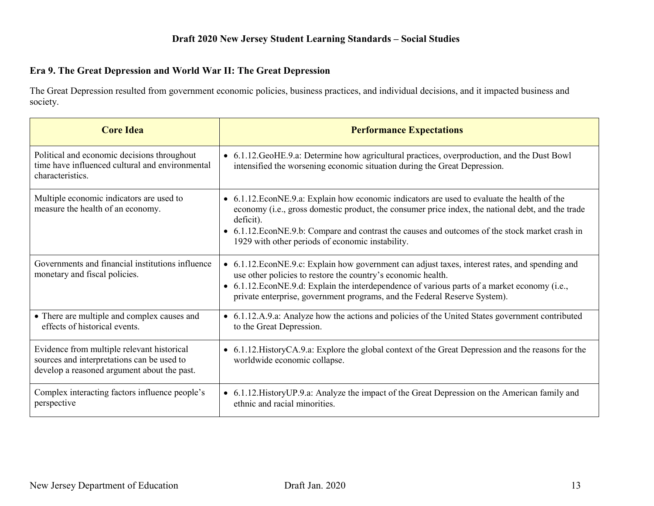## **Era 9. The Great Depression and World War II: The Great Depression**

The Great Depression resulted from government economic policies, business practices, and individual decisions, and it impacted business and society.

| <b>Core Idea</b>                                                                                                                        | <b>Performance Expectations</b>                                                                                                                                                                                                                                                                                                                                       |
|-----------------------------------------------------------------------------------------------------------------------------------------|-----------------------------------------------------------------------------------------------------------------------------------------------------------------------------------------------------------------------------------------------------------------------------------------------------------------------------------------------------------------------|
| Political and economic decisions throughout<br>time have influenced cultural and environmental<br>characteristics.                      | • 6.1.12. GeoHE.9.a: Determine how agricultural practices, overproduction, and the Dust Bowl<br>intensified the worsening economic situation during the Great Depression.                                                                                                                                                                                             |
| Multiple economic indicators are used to<br>measure the health of an economy.                                                           | • 6.1.12. EconNE.9.a: Explain how economic indicators are used to evaluate the health of the<br>economy (i.e., gross domestic product, the consumer price index, the national debt, and the trade<br>deficit).<br>• 6.1.12. EconNE.9.b: Compare and contrast the causes and outcomes of the stock market crash in<br>1929 with other periods of economic instability. |
| Governments and financial institutions influence<br>monetary and fiscal policies.                                                       | • 6.1.12. EconNE.9.c: Explain how government can adjust taxes, interest rates, and spending and<br>use other policies to restore the country's economic health.<br>• 6.1.12. EconNE.9.d: Explain the interdependence of various parts of a market economy (i.e.,<br>private enterprise, government programs, and the Federal Reserve System).                         |
| • There are multiple and complex causes and<br>effects of historical events.                                                            | • 6.1.12.A.9.a: Analyze how the actions and policies of the United States government contributed<br>to the Great Depression.                                                                                                                                                                                                                                          |
| Evidence from multiple relevant historical<br>sources and interpretations can be used to<br>develop a reasoned argument about the past. | • 6.1.12. History CA.9.a: Explore the global context of the Great Depression and the reasons for the<br>worldwide economic collapse.                                                                                                                                                                                                                                  |
| Complex interacting factors influence people's<br>perspective                                                                           | • 6.1.12. History UP.9.a: Analyze the impact of the Great Depression on the American family and<br>ethnic and racial minorities.                                                                                                                                                                                                                                      |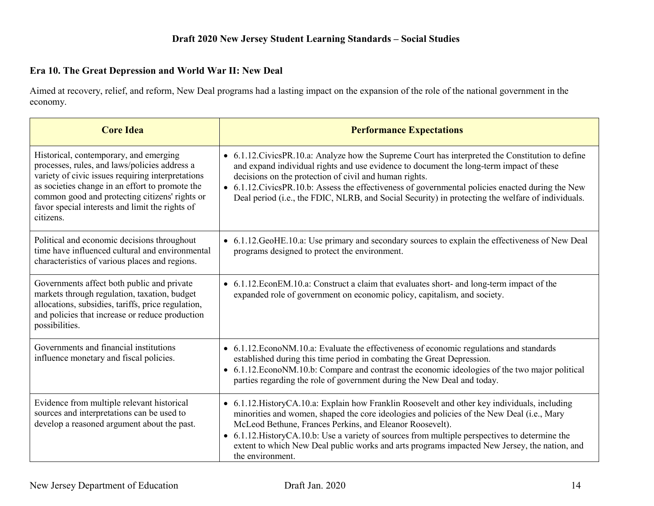## **Era 10. The Great Depression and World War II: New Deal**

Aimed at recovery, relief, and reform, New Deal programs had a lasting impact on the expansion of the role of the national government in the economy.

| <b>Core Idea</b>                                                                                                                                                                                                                                                                                                  | <b>Performance Expectations</b>                                                                                                                                                                                                                                                                                                                                                                                                                                                |
|-------------------------------------------------------------------------------------------------------------------------------------------------------------------------------------------------------------------------------------------------------------------------------------------------------------------|--------------------------------------------------------------------------------------------------------------------------------------------------------------------------------------------------------------------------------------------------------------------------------------------------------------------------------------------------------------------------------------------------------------------------------------------------------------------------------|
| Historical, contemporary, and emerging<br>processes, rules, and laws/policies address a<br>variety of civic issues requiring interpretations<br>as societies change in an effort to promote the<br>common good and protecting citizens' rights or<br>favor special interests and limit the rights of<br>citizens. | • 6.1.12. Civics PR. 10.a: Analyze how the Supreme Court has interpreted the Constitution to define<br>and expand individual rights and use evidence to document the long-term impact of these<br>decisions on the protection of civil and human rights.<br>• 6.1.12. Civics PR. 10.b: Assess the effectiveness of governmental policies enacted during the New<br>Deal period (i.e., the FDIC, NLRB, and Social Security) in protecting the welfare of individuals.           |
| Political and economic decisions throughout<br>time have influenced cultural and environmental<br>characteristics of various places and regions.                                                                                                                                                                  | • 6.1.12. GeoHE.10.a: Use primary and secondary sources to explain the effectiveness of New Deal<br>programs designed to protect the environment.                                                                                                                                                                                                                                                                                                                              |
| Governments affect both public and private<br>markets through regulation, taxation, budget<br>allocations, subsidies, tariffs, price regulation,<br>and policies that increase or reduce production<br>possibilities.                                                                                             | • 6.1.12. EconEM.10.a: Construct a claim that evaluates short- and long-term impact of the<br>expanded role of government on economic policy, capitalism, and society.                                                                                                                                                                                                                                                                                                         |
| Governments and financial institutions<br>influence monetary and fiscal policies.                                                                                                                                                                                                                                 | • 6.1.12. Econo NM.10.a: Evaluate the effectiveness of economic regulations and standards<br>established during this time period in combating the Great Depression.<br>• 6.1.12. Econo NM.10.b: Compare and contrast the economic ideologies of the two major political<br>parties regarding the role of government during the New Deal and today.                                                                                                                             |
| Evidence from multiple relevant historical<br>sources and interpretations can be used to<br>develop a reasoned argument about the past.                                                                                                                                                                           | • 6.1.12. History CA.10.a: Explain how Franklin Roosevelt and other key individuals, including<br>minorities and women, shaped the core ideologies and policies of the New Deal (i.e., Mary<br>McLeod Bethune, Frances Perkins, and Eleanor Roosevelt).<br>• 6.1.12. History CA.10.b: Use a variety of sources from multiple perspectives to determine the<br>extent to which New Deal public works and arts programs impacted New Jersey, the nation, and<br>the environment. |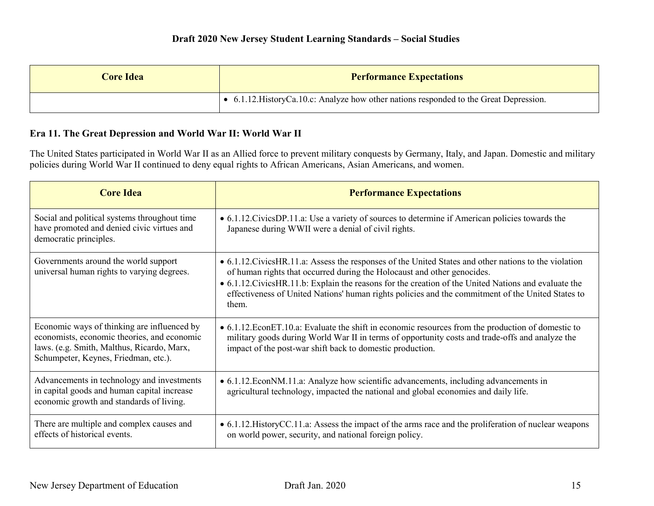| <b>Core Idea</b> | <b>Performance Expectations</b>                                                          |
|------------------|------------------------------------------------------------------------------------------|
|                  | • 6.1.12. History Ca. 10.c: Analyze how other nations responded to the Great Depression. |

#### **Era 11. The Great Depression and World War II: World War II**

The United States participated in World War II as an Allied force to prevent military conquests by Germany, Italy, and Japan. Domestic and military policies during World War II continued to deny equal rights to African Americans, Asian Americans, and women.

| <b>Core Idea</b>                                                                                                                                                                 | <b>Performance Expectations</b>                                                                                                                                                                                                                                                                                                                                                                            |
|----------------------------------------------------------------------------------------------------------------------------------------------------------------------------------|------------------------------------------------------------------------------------------------------------------------------------------------------------------------------------------------------------------------------------------------------------------------------------------------------------------------------------------------------------------------------------------------------------|
| Social and political systems throughout time<br>have promoted and denied civic virtues and<br>democratic principles.                                                             | • 6.1.12. Civics DP.11.a: Use a variety of sources to determine if American policies towards the<br>Japanese during WWII were a denial of civil rights.                                                                                                                                                                                                                                                    |
| Governments around the world support<br>universal human rights to varying degrees.                                                                                               | • 6.1.12. Civics HR. 11. a: Assess the responses of the United States and other nations to the violation<br>of human rights that occurred during the Holocaust and other genocides.<br>• 6.1.12. Civics HR.11.b: Explain the reasons for the creation of the United Nations and evaluate the<br>effectiveness of United Nations' human rights policies and the commitment of the United States to<br>them. |
| Economic ways of thinking are influenced by<br>economists, economic theories, and economic<br>laws. (e.g. Smith, Malthus, Ricardo, Marx,<br>Schumpeter, Keynes, Friedman, etc.). | • 6.1.12. EconET.10.a: Evaluate the shift in economic resources from the production of domestic to<br>military goods during World War II in terms of opportunity costs and trade-offs and analyze the<br>impact of the post-war shift back to domestic production.                                                                                                                                         |
| Advancements in technology and investments<br>in capital goods and human capital increase<br>economic growth and standards of living.                                            | • 6.1.12. EconNM.11.a: Analyze how scientific advancements, including advancements in<br>agricultural technology, impacted the national and global economies and daily life.                                                                                                                                                                                                                               |
| There are multiple and complex causes and<br>effects of historical events.                                                                                                       | • 6.1.12. History CC.11.a: Assess the impact of the arms race and the proliferation of nuclear weapons<br>on world power, security, and national foreign policy.                                                                                                                                                                                                                                           |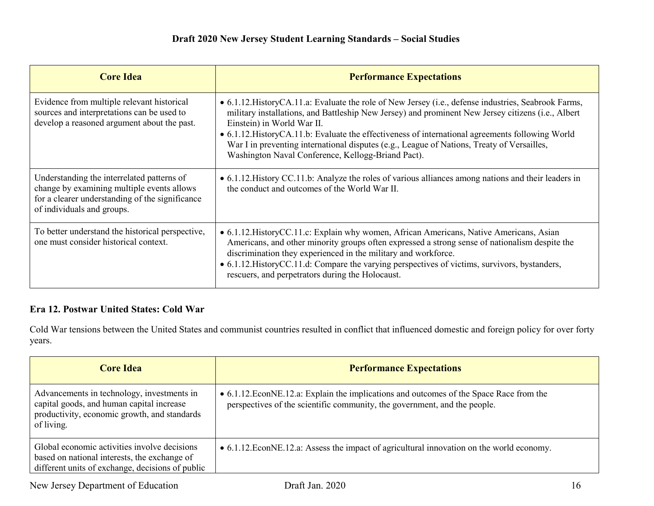| <b>Core Idea</b>                                                                                                                                                          | <b>Performance Expectations</b>                                                                                                                                                                                                                                                                                                                                                                                                                                                                    |
|---------------------------------------------------------------------------------------------------------------------------------------------------------------------------|----------------------------------------------------------------------------------------------------------------------------------------------------------------------------------------------------------------------------------------------------------------------------------------------------------------------------------------------------------------------------------------------------------------------------------------------------------------------------------------------------|
| Evidence from multiple relevant historical<br>sources and interpretations can be used to<br>develop a reasoned argument about the past.                                   | • 6.1.12. History CA.11.a: Evaluate the role of New Jersey (i.e., defense industries, Seabrook Farms,<br>military installations, and Battleship New Jersey) and prominent New Jersey citizens (i.e., Albert<br>Einstein) in World War II.<br>• 6.1.12. History CA.11.b: Evaluate the effectiveness of international agreements following World<br>War I in preventing international disputes (e.g., League of Nations, Treaty of Versailles,<br>Washington Naval Conference, Kellogg-Briand Pact). |
| Understanding the interrelated patterns of<br>change by examining multiple events allows<br>for a clearer understanding of the significance<br>of individuals and groups. | • 6.1.12. History CC.11.b: Analyze the roles of various alliances among nations and their leaders in<br>the conduct and outcomes of the World War II.                                                                                                                                                                                                                                                                                                                                              |
| To better understand the historical perspective,<br>one must consider historical context.                                                                                 | • 6.1.12. History CC.11.c: Explain why women, African Americans, Native Americans, Asian<br>Americans, and other minority groups often expressed a strong sense of nationalism despite the<br>discrimination they experienced in the military and workforce.<br>• 6.1.12. History CC.11.d: Compare the varying perspectives of victims, survivors, bystanders,<br>rescuers, and perpetrators during the Holocaust.                                                                                 |

# **Era 12. Postwar United States: Cold War**

Cold War tensions between the United States and communist countries resulted in conflict that influenced domestic and foreign policy for over forty years.

| <b>Core Idea</b>                                                                                                                                      | <b>Performance Expectations</b>                                                                                                                                       |
|-------------------------------------------------------------------------------------------------------------------------------------------------------|-----------------------------------------------------------------------------------------------------------------------------------------------------------------------|
| Advancements in technology, investments in<br>capital goods, and human capital increase<br>productivity, economic growth, and standards<br>of living. | • 6.1.12. EconNE.12. a: Explain the implications and outcomes of the Space Race from the<br>perspectives of the scientific community, the government, and the people. |
| Global economic activities involve decisions<br>based on national interests, the exchange of<br>different units of exchange, decisions of public      | • 6.1.12. EconNE.12.a: Assess the impact of agricultural innovation on the world economy.                                                                             |

New Jersey Department of Education Draft Jan. 2020 16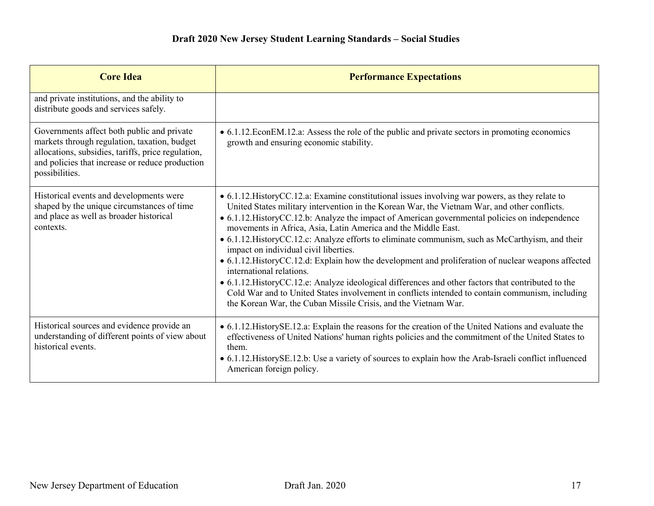| <b>Core Idea</b>                                                                                                                                                                                                      | <b>Performance Expectations</b>                                                                                                                                                                                                                                                                                                                                                                                                                                                                                                                                                                                                                                                                                                                                                                                                                                                                                                     |
|-----------------------------------------------------------------------------------------------------------------------------------------------------------------------------------------------------------------------|-------------------------------------------------------------------------------------------------------------------------------------------------------------------------------------------------------------------------------------------------------------------------------------------------------------------------------------------------------------------------------------------------------------------------------------------------------------------------------------------------------------------------------------------------------------------------------------------------------------------------------------------------------------------------------------------------------------------------------------------------------------------------------------------------------------------------------------------------------------------------------------------------------------------------------------|
| and private institutions, and the ability to<br>distribute goods and services safely.                                                                                                                                 |                                                                                                                                                                                                                                                                                                                                                                                                                                                                                                                                                                                                                                                                                                                                                                                                                                                                                                                                     |
| Governments affect both public and private<br>markets through regulation, taxation, budget<br>allocations, subsidies, tariffs, price regulation,<br>and policies that increase or reduce production<br>possibilities. | • 6.1.12. EconEM.12.a: Assess the role of the public and private sectors in promoting economics<br>growth and ensuring economic stability.                                                                                                                                                                                                                                                                                                                                                                                                                                                                                                                                                                                                                                                                                                                                                                                          |
| Historical events and developments were<br>shaped by the unique circumstances of time<br>and place as well as broader historical<br>contexts.                                                                         | • 6.1.12. History CC.12.a: Examine constitutional issues involving war powers, as they relate to<br>United States military intervention in the Korean War, the Vietnam War, and other conflicts.<br>• 6.1.12. History CC.12.b: Analyze the impact of American governmental policies on independence<br>movements in Africa, Asia, Latin America and the Middle East.<br>• 6.1.12. History CC.12.c: Analyze efforts to eliminate communism, such as McCarthyism, and their<br>impact on individual civil liberties.<br>• 6.1.12. History CC.12.d: Explain how the development and proliferation of nuclear weapons affected<br>international relations.<br>• 6.1.12. History CC.12.e: Analyze ideological differences and other factors that contributed to the<br>Cold War and to United States involvement in conflicts intended to contain communism, including<br>the Korean War, the Cuban Missile Crisis, and the Vietnam War. |
| Historical sources and evidence provide an<br>understanding of different points of view about<br>historical events.                                                                                                   | • 6.1.12. History SE.12.a: Explain the reasons for the creation of the United Nations and evaluate the<br>effectiveness of United Nations' human rights policies and the commitment of the United States to<br>them.<br>• 6.1.12. HistorySE.12.b: Use a variety of sources to explain how the Arab-Israeli conflict influenced<br>American foreign policy.                                                                                                                                                                                                                                                                                                                                                                                                                                                                                                                                                                          |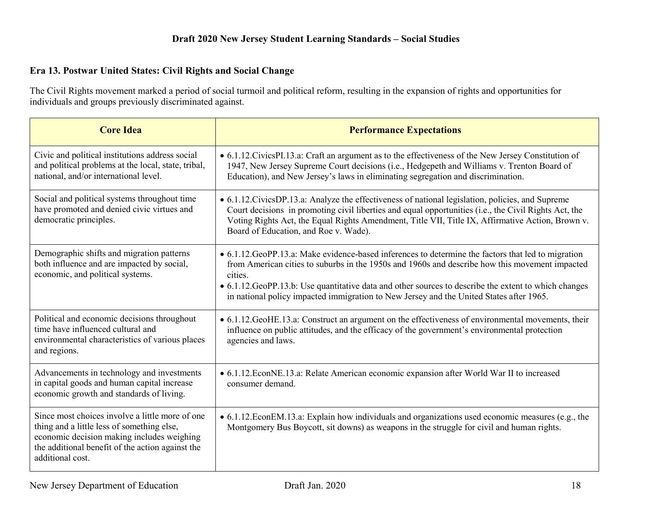## **Era 13. Postwar United States: Civil Rights and Social Change**

The Civil Rights movement marked a period of social turmoil and political reform, resulting in the expansion of rights and opportunities for individuals and groups previously discriminated against.

| <b>Core Idea</b>                                                                                                                                                                                                    | <b>Performance Expectations</b>                                                                                                                                                                                                                                                                                                                                                                                      |
|---------------------------------------------------------------------------------------------------------------------------------------------------------------------------------------------------------------------|----------------------------------------------------------------------------------------------------------------------------------------------------------------------------------------------------------------------------------------------------------------------------------------------------------------------------------------------------------------------------------------------------------------------|
| Civic and political institutions address social<br>and political problems at the local, state, tribal,<br>national, and/or international level.                                                                     | • 6.1.12. Civics PI.13.a: Craft an argument as to the effectiveness of the New Jersey Constitution of<br>1947, New Jersey Supreme Court decisions (i.e., Hedgepeth and Williams v. Trenton Board of<br>Education), and New Jersey's laws in eliminating segregation and discrimination.                                                                                                                              |
| Social and political systems throughout time<br>have promoted and denied civic virtues and<br>democratic principles.                                                                                                | • 6.1.12. Civics DP.13.a: Analyze the effectiveness of national legislation, policies, and Supreme<br>Court decisions in promoting civil liberties and equal opportunities (i.e., the Civil Rights Act, the<br>Voting Rights Act, the Equal Rights Amendment, Title VII, Title IX, Affirmative Action, Brown v.<br>Board of Education, and Roe v. Wade).                                                             |
| Demographic shifts and migration patterns<br>both influence and are impacted by social,<br>economic, and political systems.                                                                                         | • 6.1.12. GeoPP.13.a: Make evidence-based inferences to determine the factors that led to migration<br>from American cities to suburbs in the 1950s and 1960s and describe how this movement impacted<br>cities.<br>• 6.1.12. GeoPP.13.b: Use quantitative data and other sources to describe the extent to which changes<br>in national policy impacted immigration to New Jersey and the United States after 1965. |
| Political and economic decisions throughout<br>time have influenced cultural and<br>environmental characteristics of various places<br>and regions.                                                                 | • 6.1.12. GeoHE.13.a: Construct an argument on the effectiveness of environmental movements, their<br>influence on public attitudes, and the efficacy of the government's environmental protection<br>agencies and laws.                                                                                                                                                                                             |
| Advancements in technology and investments<br>in capital goods and human capital increase<br>economic growth and standards of living.                                                                               | • 6.1.12. EconNE.13.a: Relate American economic expansion after World War II to increased<br>consumer demand.                                                                                                                                                                                                                                                                                                        |
| Since most choices involve a little more of one<br>thing and a little less of something else,<br>economic decision making includes weighing<br>the additional benefit of the action against the<br>additional cost. | • 6.1.12. EconEM.13.a: Explain how individuals and organizations used economic measures (e.g., the<br>Montgomery Bus Boycott, sit downs) as weapons in the struggle for civil and human rights.                                                                                                                                                                                                                      |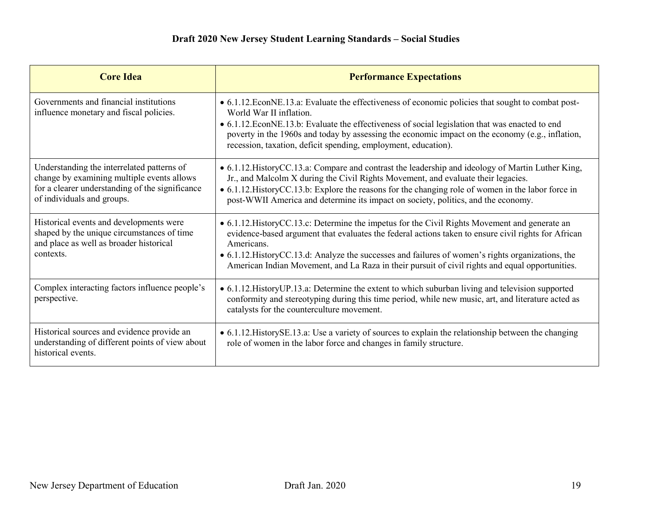| <b>Core Idea</b>                                                                                                                                                          | <b>Performance Expectations</b>                                                                                                                                                                                                                                                                                                                                                                                              |
|---------------------------------------------------------------------------------------------------------------------------------------------------------------------------|------------------------------------------------------------------------------------------------------------------------------------------------------------------------------------------------------------------------------------------------------------------------------------------------------------------------------------------------------------------------------------------------------------------------------|
| Governments and financial institutions<br>influence monetary and fiscal policies.                                                                                         | • 6.1.12. EconNE.13.a: Evaluate the effectiveness of economic policies that sought to combat post-<br>World War II inflation.<br>• 6.1.12. EconNE.13.b: Evaluate the effectiveness of social legislation that was enacted to end<br>poverty in the 1960s and today by assessing the economic impact on the economy (e.g., inflation,<br>recession, taxation, deficit spending, employment, education).                       |
| Understanding the interrelated patterns of<br>change by examining multiple events allows<br>for a clearer understanding of the significance<br>of individuals and groups. | • 6.1.12. History CC.13.a: Compare and contrast the leadership and ideology of Martin Luther King,<br>Jr., and Malcolm X during the Civil Rights Movement, and evaluate their legacies.<br>• 6.1.12. History CC.13.b: Explore the reasons for the changing role of women in the labor force in<br>post-WWII America and determine its impact on society, politics, and the economy.                                          |
| Historical events and developments were<br>shaped by the unique circumstances of time<br>and place as well as broader historical<br>contexts.                             | • 6.1.12. History CC.13.c: Determine the impetus for the Civil Rights Movement and generate an<br>evidence-based argument that evaluates the federal actions taken to ensure civil rights for African<br>Americans.<br>• 6.1.12. History CC.13.d: Analyze the successes and failures of women's rights organizations, the<br>American Indian Movement, and La Raza in their pursuit of civil rights and equal opportunities. |
| Complex interacting factors influence people's<br>perspective.                                                                                                            | • 6.1.12. History UP.13.a: Determine the extent to which suburban living and television supported<br>conformity and stereotyping during this time period, while new music, art, and literature acted as<br>catalysts for the counterculture movement.                                                                                                                                                                        |
| Historical sources and evidence provide an<br>understanding of different points of view about<br>historical events.                                                       | • 6.1.12. HistorySE.13.a: Use a variety of sources to explain the relationship between the changing<br>role of women in the labor force and changes in family structure.                                                                                                                                                                                                                                                     |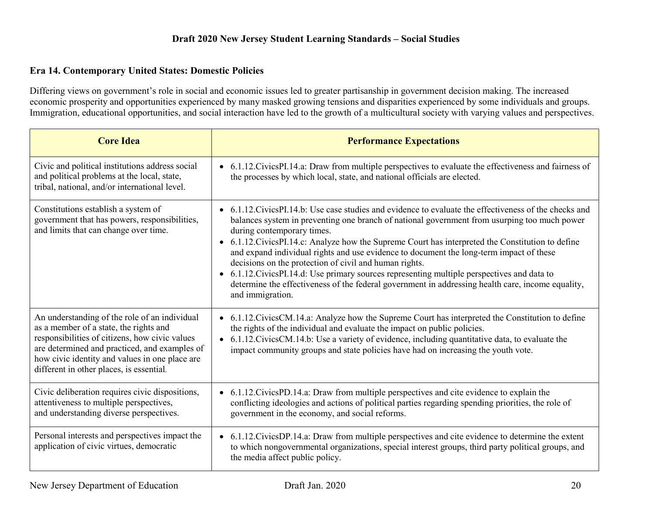#### **Era 14. Contemporary United States: Domestic Policies**

Differing views on government's role in social and economic issues led to greater partisanship in government decision making. The increased economic prosperity and opportunities experienced by many masked growing tensions and disparities experienced by some individuals and groups. Immigration, educational opportunities, and social interaction have led to the growth of a multicultural society with varying values and perspectives.

| <b>Core Idea</b>                                                                                                                                                                                                                                                                         | <b>Performance Expectations</b>                                                                                                                                                                                                                                                                                                                                                                                                                                                                                                                                                                                                                                                                                              |
|------------------------------------------------------------------------------------------------------------------------------------------------------------------------------------------------------------------------------------------------------------------------------------------|------------------------------------------------------------------------------------------------------------------------------------------------------------------------------------------------------------------------------------------------------------------------------------------------------------------------------------------------------------------------------------------------------------------------------------------------------------------------------------------------------------------------------------------------------------------------------------------------------------------------------------------------------------------------------------------------------------------------------|
| Civic and political institutions address social<br>and political problems at the local, state,<br>tribal, national, and/or international level.                                                                                                                                          | • 6.1.12. Civics PI.14. a: Draw from multiple perspectives to evaluate the effectiveness and fairness of<br>the processes by which local, state, and national officials are elected.                                                                                                                                                                                                                                                                                                                                                                                                                                                                                                                                         |
| Constitutions establish a system of<br>government that has powers, responsibilities,<br>and limits that can change over time.                                                                                                                                                            | • 6.1.12. Civics PI. 14. b: Use case studies and evidence to evaluate the effectiveness of the checks and<br>balances system in preventing one branch of national government from usurping too much power<br>during contemporary times.<br>• 6.1.12. Civics PI.14. c: Analyze how the Supreme Court has interpreted the Constitution to define<br>and expand individual rights and use evidence to document the long-term impact of these<br>decisions on the protection of civil and human rights.<br>• 6.1.12. Civics PI.14.d: Use primary sources representing multiple perspectives and data to<br>determine the effectiveness of the federal government in addressing health care, income equality,<br>and immigration. |
| An understanding of the role of an individual<br>as a member of a state, the rights and<br>responsibilities of citizens, how civic values<br>are determined and practiced, and examples of<br>how civic identity and values in one place are<br>different in other places, is essential. | • 6.1.12. Civics CM.14.a: Analyze how the Supreme Court has interpreted the Constitution to define<br>the rights of the individual and evaluate the impact on public policies.<br>• 6.1.12. Civics CM.14.b: Use a variety of evidence, including quantitative data, to evaluate the<br>impact community groups and state policies have had on increasing the youth vote.                                                                                                                                                                                                                                                                                                                                                     |
| Civic deliberation requires civic dispositions,<br>attentiveness to multiple perspectives,<br>and understanding diverse perspectives.                                                                                                                                                    | • 6.1.12. Civics PD.14.a: Draw from multiple perspectives and cite evidence to explain the<br>conflicting ideologies and actions of political parties regarding spending priorities, the role of<br>government in the economy, and social reforms.                                                                                                                                                                                                                                                                                                                                                                                                                                                                           |
| Personal interests and perspectives impact the<br>application of civic virtues, democratic                                                                                                                                                                                               | • 6.1.12. Civics DP.14. a: Draw from multiple perspectives and cite evidence to determine the extent<br>to which nongovernmental organizations, special interest groups, third party political groups, and<br>the media affect public policy.                                                                                                                                                                                                                                                                                                                                                                                                                                                                                |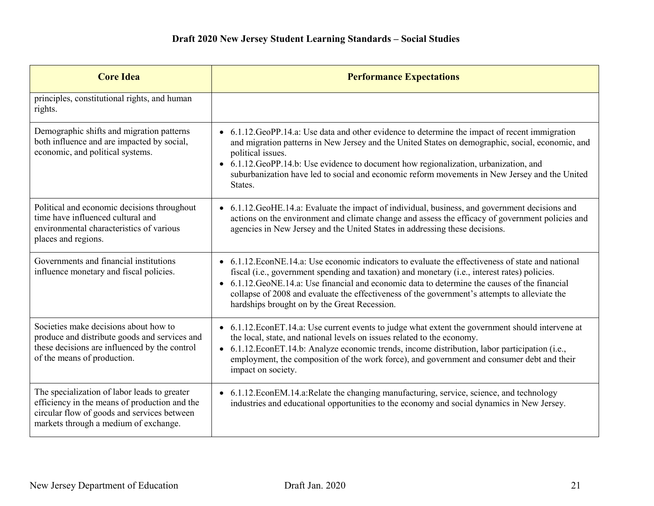| <b>Core Idea</b>                                                                                                                                                                      | <b>Performance Expectations</b>                                                                                                                                                                                                                                                                                                                                                                                                                        |
|---------------------------------------------------------------------------------------------------------------------------------------------------------------------------------------|--------------------------------------------------------------------------------------------------------------------------------------------------------------------------------------------------------------------------------------------------------------------------------------------------------------------------------------------------------------------------------------------------------------------------------------------------------|
| principles, constitutional rights, and human<br>rights.                                                                                                                               |                                                                                                                                                                                                                                                                                                                                                                                                                                                        |
| Demographic shifts and migration patterns<br>both influence and are impacted by social,<br>economic, and political systems.                                                           | • 6.1.12.GeoPP.14.a: Use data and other evidence to determine the impact of recent immigration<br>and migration patterns in New Jersey and the United States on demographic, social, economic, and<br>political issues.<br>6.1.12. GeoPP.14.b: Use evidence to document how regionalization, urbanization, and<br>$\bullet$<br>suburbanization have led to social and economic reform movements in New Jersey and the United<br>States.                |
| Political and economic decisions throughout<br>time have influenced cultural and<br>environmental characteristics of various<br>places and regions.                                   | • 6.1.12. GeoHE.14.a: Evaluate the impact of individual, business, and government decisions and<br>actions on the environment and climate change and assess the efficacy of government policies and<br>agencies in New Jersey and the United States in addressing these decisions.                                                                                                                                                                     |
| Governments and financial institutions<br>influence monetary and fiscal policies.                                                                                                     | • 6.1.12. EconNE.14.a: Use economic indicators to evaluate the effectiveness of state and national<br>fiscal (i.e., government spending and taxation) and monetary (i.e., interest rates) policies.<br>• 6.1.12. GeoNE.14.a: Use financial and economic data to determine the causes of the financial<br>collapse of 2008 and evaluate the effectiveness of the government's attempts to alleviate the<br>hardships brought on by the Great Recession. |
| Societies make decisions about how to<br>produce and distribute goods and services and<br>these decisions are influenced by the control<br>of the means of production.                | • 6.1.12. EconET.14.a: Use current events to judge what extent the government should intervene at<br>the local, state, and national levels on issues related to the economy.<br>• 6.1.12. EconET.14.b: Analyze economic trends, income distribution, labor participation (i.e.,<br>employment, the composition of the work force), and government and consumer debt and their<br>impact on society.                                                    |
| The specialization of labor leads to greater<br>efficiency in the means of production and the<br>circular flow of goods and services between<br>markets through a medium of exchange. | • 6.1.12. EconEM.14.a: Relate the changing manufacturing, service, science, and technology<br>industries and educational opportunities to the economy and social dynamics in New Jersey.                                                                                                                                                                                                                                                               |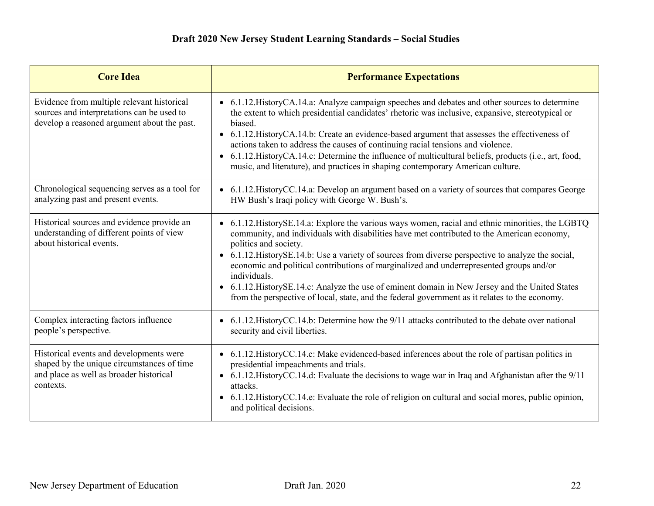| <b>Core Idea</b>                                                                                                                              | <b>Performance Expectations</b>                                                                                                                                                                                                                                                                                                                                                                                                                                                                                                                                                                                                                             |
|-----------------------------------------------------------------------------------------------------------------------------------------------|-------------------------------------------------------------------------------------------------------------------------------------------------------------------------------------------------------------------------------------------------------------------------------------------------------------------------------------------------------------------------------------------------------------------------------------------------------------------------------------------------------------------------------------------------------------------------------------------------------------------------------------------------------------|
| Evidence from multiple relevant historical<br>sources and interpretations can be used to<br>develop a reasoned argument about the past.       | • 6.1.12. History CA.14.a: Analyze campaign speeches and debates and other sources to determine<br>the extent to which presidential candidates' rhetoric was inclusive, expansive, stereotypical or<br>biased.<br>• 6.1.12. History CA.14.b: Create an evidence-based argument that assesses the effectiveness of<br>actions taken to address the causes of continuing racial tensions and violence.<br>6.1.12. History CA.14.c: Determine the influence of multicultural beliefs, products (i.e., art, food,<br>$\bullet$<br>music, and literature), and practices in shaping contemporary American culture.                                               |
| Chronological sequencing serves as a tool for<br>analyzing past and present events.                                                           | • 6.1.12. History CC. 14.a: Develop an argument based on a variety of sources that compares George<br>HW Bush's Iraqi policy with George W. Bush's.                                                                                                                                                                                                                                                                                                                                                                                                                                                                                                         |
| Historical sources and evidence provide an<br>understanding of different points of view<br>about historical events.                           | • 6.1.12. HistorySE.14.a: Explore the various ways women, racial and ethnic minorities, the LGBTQ<br>community, and individuals with disabilities have met contributed to the American economy,<br>politics and society.<br>6.1.12. History SE.14.b: Use a variety of sources from diverse perspective to analyze the social,<br>$\bullet$<br>economic and political contributions of marginalized and underrepresented groups and/or<br>individuals.<br>• 6.1.12. History SE.14.c: Analyze the use of eminent domain in New Jersey and the United States<br>from the perspective of local, state, and the federal government as it relates to the economy. |
| Complex interacting factors influence<br>people's perspective.                                                                                | • 6.1.12. History CC.14.b: Determine how the 9/11 attacks contributed to the debate over national<br>security and civil liberties.                                                                                                                                                                                                                                                                                                                                                                                                                                                                                                                          |
| Historical events and developments were<br>shaped by the unique circumstances of time<br>and place as well as broader historical<br>contexts. | • 6.1.12. History CC.14.c: Make evidenced-based inferences about the role of partisan politics in<br>presidential impeachments and trials.<br>• 6.1.12. History CC.14.d: Evaluate the decisions to wage war in Iraq and Afghanistan after the 9/11<br>attacks.<br>• 6.1.12. History CC.14.e: Evaluate the role of religion on cultural and social mores, public opinion,<br>and political decisions.                                                                                                                                                                                                                                                        |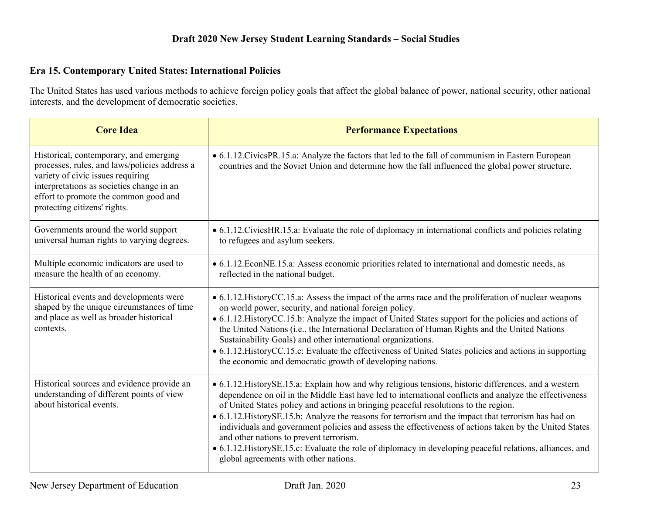## **Era 15. Contemporary United States: International Policies**

The United States has used various methods to achieve foreign policy goals that affect the global balance of power, national security, other national interests, and the development of democratic societies.

| <b>Core Idea</b>                                                                                                                                                                                                                                   | <b>Performance Expectations</b>                                                                                                                                                                                                                                                                                                                                                                                                                                                                                                                                                                                                                                                                                            |
|----------------------------------------------------------------------------------------------------------------------------------------------------------------------------------------------------------------------------------------------------|----------------------------------------------------------------------------------------------------------------------------------------------------------------------------------------------------------------------------------------------------------------------------------------------------------------------------------------------------------------------------------------------------------------------------------------------------------------------------------------------------------------------------------------------------------------------------------------------------------------------------------------------------------------------------------------------------------------------------|
| Historical, contemporary, and emerging<br>processes, rules, and laws/policies address a<br>variety of civic issues requiring<br>interpretations as societies change in an<br>effort to promote the common good and<br>protecting citizens' rights. | • 6.1.12. Civics PR.15.a: Analyze the factors that led to the fall of communism in Eastern European<br>countries and the Soviet Union and determine how the fall influenced the global power structure.                                                                                                                                                                                                                                                                                                                                                                                                                                                                                                                    |
| Governments around the world support<br>universal human rights to varying degrees.                                                                                                                                                                 | • 6.1.12. Civics HR. 15.a: Evaluate the role of diplomacy in international conflicts and policies relating<br>to refugees and asylum seekers.                                                                                                                                                                                                                                                                                                                                                                                                                                                                                                                                                                              |
| Multiple economic indicators are used to<br>measure the health of an economy.                                                                                                                                                                      | • 6.1.12. EconNE.15.a: Assess economic priorities related to international and domestic needs, as<br>reflected in the national budget.                                                                                                                                                                                                                                                                                                                                                                                                                                                                                                                                                                                     |
| Historical events and developments were<br>shaped by the unique circumstances of time<br>and place as well as broader historical<br>contexts.                                                                                                      | • 6.1.12. History CC.15.a: Assess the impact of the arms race and the proliferation of nuclear weapons<br>on world power, security, and national foreign policy.<br>• 6.1.12. HistoryCC.15.b: Analyze the impact of United States support for the policies and actions of<br>the United Nations ( <i>i.e.</i> , the International Declaration of Human Rights and the United Nations<br>Sustainability Goals) and other international organizations.<br>• 6.1.12. History CC.15.c: Evaluate the effectiveness of United States policies and actions in supporting<br>the economic and democratic growth of developing nations.                                                                                             |
| Historical sources and evidence provide an<br>understanding of different points of view<br>about historical events.                                                                                                                                | • 6.1.12. History SE.15.a: Explain how and why religious tensions, historic differences, and a western<br>dependence on oil in the Middle East have led to international conflicts and analyze the effectiveness<br>of United States policy and actions in bringing peaceful resolutions to the region.<br>• 6.1.12. HistorySE.15.b: Analyze the reasons for terrorism and the impact that terrorism has had on<br>individuals and government policies and assess the effectiveness of actions taken by the United States<br>and other nations to prevent terrorism.<br>• 6.1.12. HistorySE.15.c: Evaluate the role of diplomacy in developing peaceful relations, alliances, and<br>global agreements with other nations. |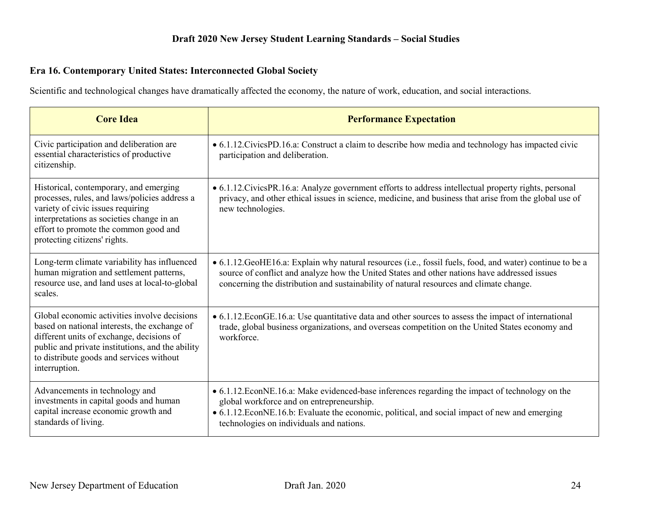## **Era 16. Contemporary United States: Interconnected Global Society**

Scientific and technological changes have dramatically affected the economy, the nature of work, education, and social interactions.

| <b>Core Idea</b>                                                                                                                                                                                                                                           | <b>Performance Expectation</b>                                                                                                                                                                                                                                                                       |
|------------------------------------------------------------------------------------------------------------------------------------------------------------------------------------------------------------------------------------------------------------|------------------------------------------------------------------------------------------------------------------------------------------------------------------------------------------------------------------------------------------------------------------------------------------------------|
| Civic participation and deliberation are<br>essential characteristics of productive<br>citizenship.                                                                                                                                                        | • 6.1.12. Civics PD.16.a: Construct a claim to describe how media and technology has impacted civic<br>participation and deliberation.                                                                                                                                                               |
| Historical, contemporary, and emerging<br>processes, rules, and laws/policies address a<br>variety of civic issues requiring<br>interpretations as societies change in an<br>effort to promote the common good and<br>protecting citizens' rights.         | • 6.1.12. Civics PR. 16.a: Analyze government efforts to address intellectual property rights, personal<br>privacy, and other ethical issues in science, medicine, and business that arise from the global use of<br>new technologies.                                                               |
| Long-term climate variability has influenced<br>human migration and settlement patterns,<br>resource use, and land uses at local-to-global<br>scales.                                                                                                      | • 6.1.12. GeoHE16.a: Explain why natural resources (i.e., fossil fuels, food, and water) continue to be a<br>source of conflict and analyze how the United States and other nations have addressed issues<br>concerning the distribution and sustainability of natural resources and climate change. |
| Global economic activities involve decisions<br>based on national interests, the exchange of<br>different units of exchange, decisions of<br>public and private institutions, and the ability<br>to distribute goods and services without<br>interruption. | • 6.1.12. EconGE.16.a: Use quantitative data and other sources to assess the impact of international<br>trade, global business organizations, and overseas competition on the United States economy and<br>workforce.                                                                                |
| Advancements in technology and<br>investments in capital goods and human<br>capital increase economic growth and<br>standards of living.                                                                                                                   | • 6.1.12. EconNE. 16.a: Make evidenced-base inferences regarding the impact of technology on the<br>global workforce and on entrepreneurship.<br>• 6.1.12. EconNE.16.b: Evaluate the economic, political, and social impact of new and emerging<br>technologies on individuals and nations.          |